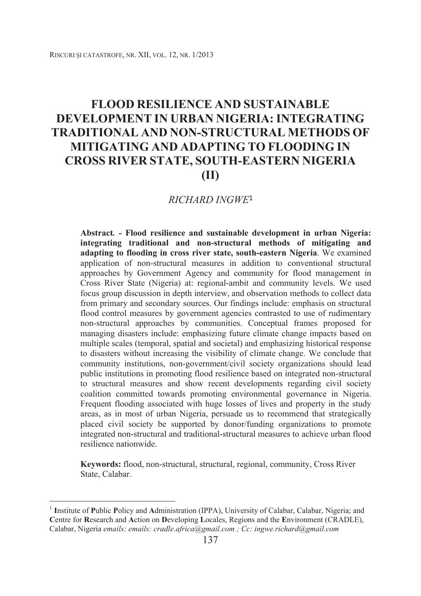# **FLOOD RESILIENCE AND SUSTAINABLE DEVELOPMENT IN URBAN NIGERIA: INTEGRATING TRADITIONAL AND NON-STRUCTURAL METHODS OF MITIGATING AND ADAPTING TO FLOODING IN CROSS RIVER STATE, SOUTH-EASTERN NIGERIA (II)**

## *RICHARD INGWE*<sup>1</sup>

**Abstract***. -* **Flood resilience and sustainable development in urban Nigeria: integrating traditional and non-structural methods of mitigating and adapting to flooding in cross river state, south-eastern Nigeria**. We examined application of non-structural measures in addition to conventional structural approaches by Government Agency and community for flood management in Cross River State (Nigeria) at: regional-ambit and community levels. We used focus group discussion in depth interview, and observation methods to collect data from primary and secondary sources. Our findings include: emphasis on structural flood control measures by government agencies contrasted to use of rudimentary non-structural approaches by communities. Conceptual frames proposed for managing disasters include: emphasizing future climate change impacts based on multiple scales (temporal, spatial and societal) and emphasizing historical response to disasters without increasing the visibility of climate change. We conclude that community institutions, non-government/civil society organizations should lead public institutions in promoting flood resilience based on integrated non-structural to structural measures and show recent developments regarding civil society coalition committed towards promoting environmental governance in Nigeria. Frequent flooding associated with huge losses of lives and property in the study areas, as in most of urban Nigeria, persuade us to recommend that strategically placed civil society be supported by donor/funding organizations to promote integrated non-structural and traditional-structural measures to achieve urban flood resilience nationwide.

**Keywords:** flood, non-structural, structural, regional, community, Cross River State, Calabar.

-

<sup>1</sup> **I**nstitute of **P**ublic **P**olicy and **A**dministration (IPPA), University of Calabar, Calabar, Nigeria; and **C**entre for **R**esearch and **A**ction on **D**eveloping **L**ocales, Regions and the **E**nvironment (CRADLE), Calabar, Nigeria *emails: emails: cradle.africa@gmail.com ; Cc: ingwe.richard@gmail.com*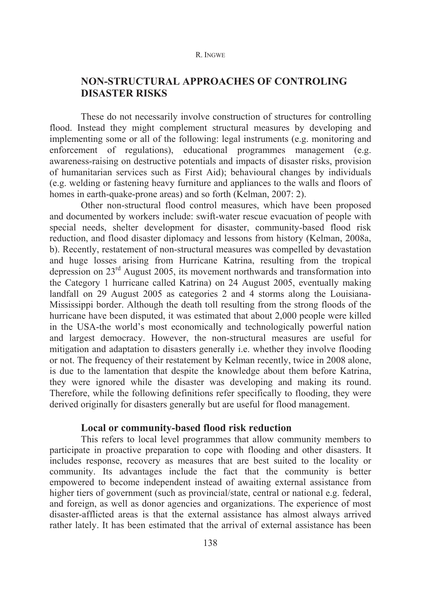# **NON-STRUCTURAL APPROACHES OF CONTROLING DISASTER RISKS**

These do not necessarily involve construction of structures for controlling flood. Instead they might complement structural measures by developing and implementing some or all of the following: legal instruments (e.g. monitoring and enforcement of regulations), educational programmes management (e.g. awareness-raising on destructive potentials and impacts of disaster risks, provision of humanitarian services such as First Aid); behavioural changes by individuals (e.g. welding or fastening heavy furniture and appliances to the walls and floors of homes in earth-quake-prone areas) and so forth (Kelman, 2007: 2).

Other non-structural flood control measures, which have been proposed and documented by workers include: swift-water rescue evacuation of people with special needs, shelter development for disaster, community-based flood risk reduction, and flood disaster diplomacy and lessons from history (Kelman, 2008a, b). Recently, restatement of non-structural measures was compelled by devastation and huge losses arising from Hurricane Katrina, resulting from the tropical depression on 23rd August 2005, its movement northwards and transformation into the Category 1 hurricane called Katrina) on 24 August 2005, eventually making landfall on 29 August 2005 as categories 2 and 4 storms along the Louisiana-Mississippi border. Although the death toll resulting from the strong floods of the hurricane have been disputed, it was estimated that about 2,000 people were killed in the USA-the world's most economically and technologically powerful nation and largest democracy. However, the non-structural measures are useful for mitigation and adaptation to disasters generally i.e. whether they involve flooding or not. The frequency of their restatement by Kelman recently, twice in 2008 alone, is due to the lamentation that despite the knowledge about them before Katrina, they were ignored while the disaster was developing and making its round. Therefore, while the following definitions refer specifically to flooding, they were derived originally for disasters generally but are useful for flood management.

## **Local or community-based flood risk reduction**

This refers to local level programmes that allow community members to participate in proactive preparation to cope with flooding and other disasters. It includes response, recovery as measures that are best suited to the locality or community. Its advantages include the fact that the community is better empowered to become independent instead of awaiting external assistance from higher tiers of government (such as provincial/state, central or national e.g. federal, and foreign, as well as donor agencies and organizations. The experience of most disaster-afflicted areas is that the external assistance has almost always arrived rather lately. It has been estimated that the arrival of external assistance has been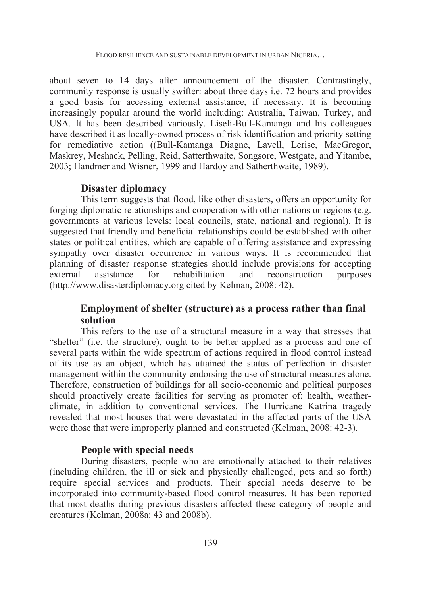about seven to 14 days after announcement of the disaster. Contrastingly, community response is usually swifter: about three days i.e. 72 hours and provides a good basis for accessing external assistance, if necessary. It is becoming increasingly popular around the world including: Australia, Taiwan, Turkey, and USA. It has been described variously. Liseli-Bull-Kamanga and his colleagues have described it as locally-owned process of risk identification and priority setting for remediative action ((Bull-Kamanga Diagne, Lavell, Lerise, MacGregor, Maskrey, Meshack, Pelling, Reid, Satterthwaite, Songsore, Westgate, and Yitambe, 2003; Handmer and Wisner, 1999 and Hardoy and Satherthwaite, 1989).

## **Disaster diplomacy**

This term suggests that flood, like other disasters, offers an opportunity for forging diplomatic relationships and cooperation with other nations or regions (e.g. governments at various levels: local councils, state, national and regional). It is suggested that friendly and beneficial relationships could be established with other states or political entities, which are capable of offering assistance and expressing sympathy over disaster occurrence in various ways. It is recommended that planning of disaster response strategies should include provisions for accepting external assistance for rehabilitation and reconstruction purposes (http://www.disasterdiplomacy.org cited by Kelman, 2008: 42).

## **Employment of shelter (structure) as a process rather than final solution**

This refers to the use of a structural measure in a way that stresses that "shelter" (i.e. the structure), ought to be better applied as a process and one of several parts within the wide spectrum of actions required in flood control instead of its use as an object, which has attained the status of perfection in disaster management within the community endorsing the use of structural measures alone. Therefore, construction of buildings for all socio-economic and political purposes should proactively create facilities for serving as promoter of: health, weatherclimate, in addition to conventional services. The Hurricane Katrina tragedy revealed that most houses that were devastated in the affected parts of the USA were those that were improperly planned and constructed (Kelman, 2008: 42-3).

## **People with special needs**

During disasters, people who are emotionally attached to their relatives (including children, the ill or sick and physically challenged, pets and so forth) require special services and products. Their special needs deserve to be incorporated into community-based flood control measures. It has been reported that most deaths during previous disasters affected these category of people and creatures (Kelman, 2008a: 43 and 2008b).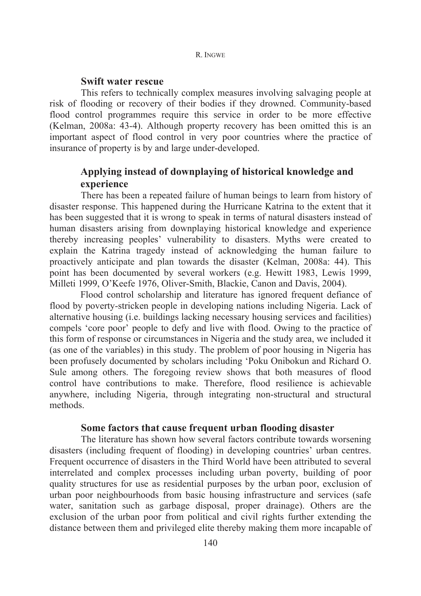## **Swift water rescue**

This refers to technically complex measures involving salvaging people at risk of flooding or recovery of their bodies if they drowned. Community-based flood control programmes require this service in order to be more effective (Kelman, 2008a: 43-4). Although property recovery has been omitted this is an important aspect of flood control in very poor countries where the practice of insurance of property is by and large under-developed.

# **Applying instead of downplaying of historical knowledge and experience**

There has been a repeated failure of human beings to learn from history of disaster response. This happened during the Hurricane Katrina to the extent that it has been suggested that it is wrong to speak in terms of natural disasters instead of human disasters arising from downplaying historical knowledge and experience thereby increasing peoples' vulnerability to disasters. Myths were created to explain the Katrina tragedy instead of acknowledging the human failure to proactively anticipate and plan towards the disaster (Kelman, 2008a: 44). This point has been documented by several workers (e.g. Hewitt 1983, Lewis 1999, Milleti 1999, O'Keefe 1976, Oliver-Smith, Blackie, Canon and Davis, 2004).

Flood control scholarship and literature has ignored frequent defiance of flood by poverty-stricken people in developing nations including Nigeria. Lack of alternative housing (i.e. buildings lacking necessary housing services and facilities) compels 'core poor' people to defy and live with flood. Owing to the practice of this form of response or circumstances in Nigeria and the study area, we included it (as one of the variables) in this study. The problem of poor housing in Nigeria has been profusely documented by scholars including 'Poku Onibokun and Richard O. Sule among others. The foregoing review shows that both measures of flood control have contributions to make. Therefore, flood resilience is achievable anywhere, including Nigeria, through integrating non-structural and structural methods.

## **Some factors that cause frequent urban flooding disaster**

The literature has shown how several factors contribute towards worsening disasters (including frequent of flooding) in developing countries' urban centres. Frequent occurrence of disasters in the Third World have been attributed to several interrelated and complex processes including urban poverty, building of poor quality structures for use as residential purposes by the urban poor, exclusion of urban poor neighbourhoods from basic housing infrastructure and services (safe water, sanitation such as garbage disposal, proper drainage). Others are the exclusion of the urban poor from political and civil rights further extending the distance between them and privileged elite thereby making them more incapable of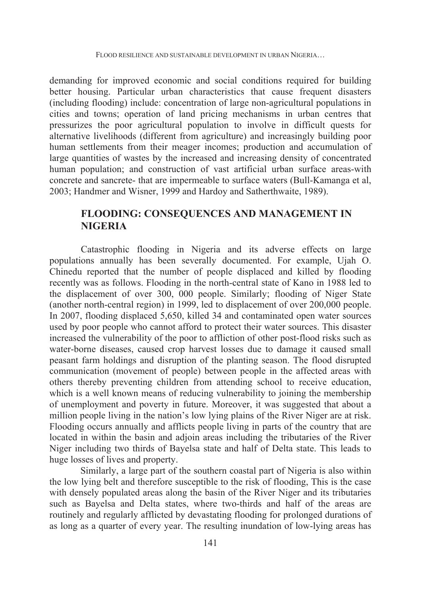demanding for improved economic and social conditions required for building better housing. Particular urban characteristics that cause frequent disasters (including flooding) include: concentration of large non-agricultural populations in cities and towns; operation of land pricing mechanisms in urban centres that pressurizes the poor agricultural population to involve in difficult quests for alternative livelihoods (different from agriculture) and increasingly building poor human settlements from their meager incomes; production and accumulation of large quantities of wastes by the increased and increasing density of concentrated human population; and construction of vast artificial urban surface areas-with concrete and sancrete- that are impermeable to surface waters (Bull-Kamanga et al, 2003; Handmer and Wisner, 1999 and Hardoy and Satherthwaite, 1989).

# **FLOODING: CONSEQUENCES AND MANAGEMENT IN NIGERIA**

Catastrophic flooding in Nigeria and its adverse effects on large populations annually has been severally documented. For example, Ujah O. Chinedu reported that the number of people displaced and killed by flooding recently was as follows. Flooding in the north-central state of Kano in 1988 led to the displacement of over 300, 000 people. Similarly; flooding of Niger State (another north-central region) in 1999, led to displacement of over 200,000 people. In 2007, flooding displaced 5,650, killed 34 and contaminated open water sources used by poor people who cannot afford to protect their water sources. This disaster increased the vulnerability of the poor to affliction of other post-flood risks such as water-borne diseases, caused crop harvest losses due to damage it caused small peasant farm holdings and disruption of the planting season. The flood disrupted communication (movement of people) between people in the affected areas with others thereby preventing children from attending school to receive education, which is a well known means of reducing vulnerability to joining the membership of unemployment and poverty in future. Moreover, it was suggested that about a million people living in the nation's low lying plains of the River Niger are at risk. Flooding occurs annually and afflicts people living in parts of the country that are located in within the basin and adjoin areas including the tributaries of the River Niger including two thirds of Bayelsa state and half of Delta state. This leads to huge losses of lives and property.

Similarly, a large part of the southern coastal part of Nigeria is also within the low lying belt and therefore susceptible to the risk of flooding, This is the case with densely populated areas along the basin of the River Niger and its tributaries such as Bayelsa and Delta states, where two-thirds and half of the areas are routinely and regularly afflicted by devastating flooding for prolonged durations of as long as a quarter of every year. The resulting inundation of low-lying areas has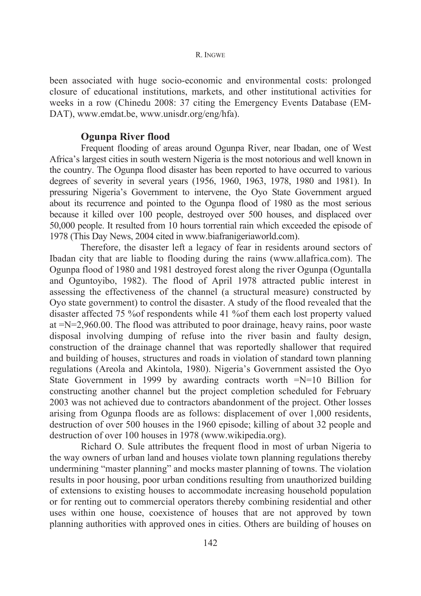been associated with huge socio-economic and environmental costs: prolonged closure of educational institutions, markets, and other institutional activities for weeks in a row (Chinedu 2008: 37 citing the Emergency Events Database (EM-DAT), www.emdat.be, www.unisdr.org/eng/hfa).

## **Ogunpa River flood**

Frequent flooding of areas around Ogunpa River, near Ibadan, one of West Africa's largest cities in south western Nigeria is the most notorious and well known in the country. The Ogunpa flood disaster has been reported to have occurred to various degrees of severity in several years (1956, 1960, 1963, 1978, 1980 and 1981). In pressuring Nigeria's Government to intervene, the Oyo State Government argued about its recurrence and pointed to the Ogunpa flood of 1980 as the most serious because it killed over 100 people, destroyed over 500 houses, and displaced over 50,000 people. It resulted from 10 hours torrential rain which exceeded the episode of 1978 (This Day News, 2004 cited in www.biafranigeriaworld.com).

Therefore, the disaster left a legacy of fear in residents around sectors of Ibadan city that are liable to flooding during the rains (www.allafrica.com). The Ogunpa flood of 1980 and 1981 destroyed forest along the river Ogunpa (Oguntalla and Oguntoyibo, 1982). The flood of April 1978 attracted public interest in assessing the effectiveness of the channel (a structural measure) constructed by Oyo state government) to control the disaster. A study of the flood revealed that the disaster affected 75 %of respondents while 41 %of them each lost property valued at =N=2,960.00. The flood was attributed to poor drainage, heavy rains, poor waste disposal involving dumping of refuse into the river basin and faulty design, construction of the drainage channel that was reportedly shallower that required and building of houses, structures and roads in violation of standard town planning regulations (Areola and Akintola, 1980). Nigeria's Government assisted the Oyo State Government in 1999 by awarding contracts worth =N=10 Billion for constructing another channel but the project completion scheduled for February 2003 was not achieved due to contractors abandonment of the project. Other losses arising from Ogunpa floods are as follows: displacement of over 1,000 residents, destruction of over 500 houses in the 1960 episode; killing of about 32 people and destruction of over 100 houses in 1978 (www.wikipedia.org).

Richard O. Sule attributes the frequent flood in most of urban Nigeria to the way owners of urban land and houses violate town planning regulations thereby undermining "master planning" and mocks master planning of towns. The violation results in poor housing, poor urban conditions resulting from unauthorized building of extensions to existing houses to accommodate increasing household population or for renting out to commercial operators thereby combining residential and other uses within one house, coexistence of houses that are not approved by town planning authorities with approved ones in cities. Others are building of houses on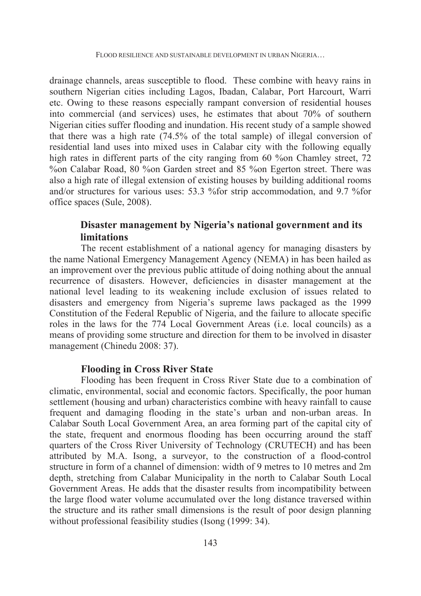drainage channels, areas susceptible to flood. These combine with heavy rains in southern Nigerian cities including Lagos, Ibadan, Calabar, Port Harcourt, Warri etc. Owing to these reasons especially rampant conversion of residential houses into commercial (and services) uses, he estimates that about 70% of southern Nigerian cities suffer flooding and inundation. His recent study of a sample showed that there was a high rate (74.5% of the total sample) of illegal conversion of residential land uses into mixed uses in Calabar city with the following equally high rates in different parts of the city ranging from 60 % on Chamley street, 72 %on Calabar Road, 80 %on Garden street and 85 %on Egerton street. There was also a high rate of illegal extension of existing houses by building additional rooms and/or structures for various uses: 53.3 %for strip accommodation, and 9.7 %for office spaces (Sule, 2008).

# **Disaster management by Nigeria's national government and its limitations**

The recent establishment of a national agency for managing disasters by the name National Emergency Management Agency (NEMA) in has been hailed as an improvement over the previous public attitude of doing nothing about the annual recurrence of disasters. However, deficiencies in disaster management at the national level leading to its weakening include exclusion of issues related to disasters and emergency from Nigeria's supreme laws packaged as the 1999 Constitution of the Federal Republic of Nigeria, and the failure to allocate specific roles in the laws for the 774 Local Government Areas (i.e. local councils) as a means of providing some structure and direction for them to be involved in disaster management (Chinedu 2008: 37).

## **Flooding in Cross River State**

Flooding has been frequent in Cross River State due to a combination of climatic, environmental, social and economic factors. Specifically, the poor human settlement (housing and urban) characteristics combine with heavy rainfall to cause frequent and damaging flooding in the state's urban and non-urban areas. In Calabar South Local Government Area, an area forming part of the capital city of the state, frequent and enormous flooding has been occurring around the staff quarters of the Cross River University of Technology (CRUTECH) and has been attributed by M.A. Isong, a surveyor, to the construction of a flood-control structure in form of a channel of dimension: width of 9 metres to 10 metres and 2m depth, stretching from Calabar Municipality in the north to Calabar South Local Government Areas. He adds that the disaster results from incompatibility between the large flood water volume accumulated over the long distance traversed within the structure and its rather small dimensions is the result of poor design planning without professional feasibility studies (Isong (1999: 34).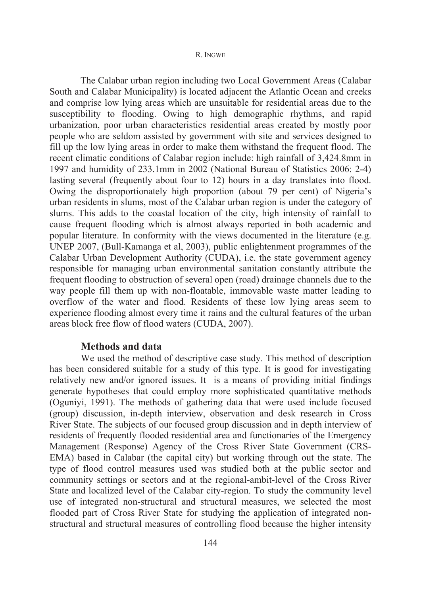The Calabar urban region including two Local Government Areas (Calabar South and Calabar Municipality) is located adjacent the Atlantic Ocean and creeks and comprise low lying areas which are unsuitable for residential areas due to the susceptibility to flooding. Owing to high demographic rhythms, and rapid urbanization, poor urban characteristics residential areas created by mostly poor people who are seldom assisted by government with site and services designed to fill up the low lying areas in order to make them withstand the frequent flood. The recent climatic conditions of Calabar region include: high rainfall of 3,424.8mm in 1997 and humidity of 233.1mm in 2002 (National Bureau of Statistics 2006: 2-4) lasting several (frequently about four to 12) hours in a day translates into flood. Owing the disproportionately high proportion (about 79 per cent) of Nigeria's urban residents in slums, most of the Calabar urban region is under the category of slums. This adds to the coastal location of the city, high intensity of rainfall to cause frequent flooding which is almost always reported in both academic and popular literature. In conformity with the views documented in the literature (e.g. UNEP 2007, (Bull-Kamanga et al, 2003), public enlightenment programmes of the Calabar Urban Development Authority (CUDA), i.e. the state government agency responsible for managing urban environmental sanitation constantly attribute the frequent flooding to obstruction of several open (road) drainage channels due to the way people fill them up with non-floatable, immovable waste matter leading to overflow of the water and flood. Residents of these low lying areas seem to experience flooding almost every time it rains and the cultural features of the urban areas block free flow of flood waters (CUDA, 2007).

## **Methods and data**

We used the method of descriptive case study. This method of description has been considered suitable for a study of this type. It is good for investigating relatively new and/or ignored issues. It is a means of providing initial findings generate hypotheses that could employ more sophisticated quantitative methods (Oguniyi, 1991). The methods of gathering data that were used include focused (group) discussion, in-depth interview, observation and desk research in Cross River State. The subjects of our focused group discussion and in depth interview of residents of frequently flooded residential area and functionaries of the Emergency Management (Response) Agency of the Cross River State Government (CRS-EMA) based in Calabar (the capital city) but working through out the state. The type of flood control measures used was studied both at the public sector and community settings or sectors and at the regional-ambit-level of the Cross River State and localized level of the Calabar city-region. To study the community level use of integrated non-structural and structural measures, we selected the most flooded part of Cross River State for studying the application of integrated nonstructural and structural measures of controlling flood because the higher intensity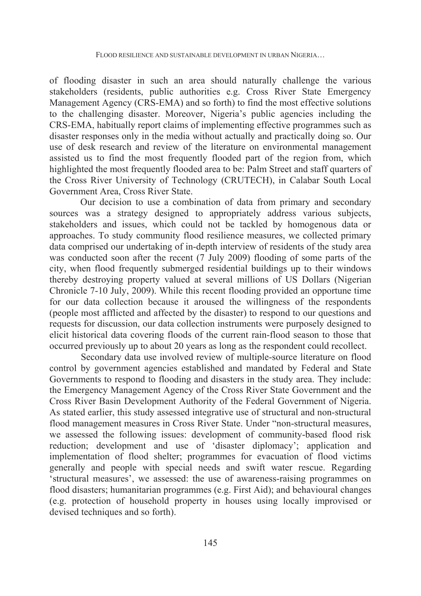of flooding disaster in such an area should naturally challenge the various stakeholders (residents, public authorities e.g. Cross River State Emergency Management Agency (CRS-EMA) and so forth) to find the most effective solutions to the challenging disaster. Moreover, Nigeria's public agencies including the CRS-EMA, habitually report claims of implementing effective programmes such as disaster responses only in the media without actually and practically doing so. Our use of desk research and review of the literature on environmental management assisted us to find the most frequently flooded part of the region from, which highlighted the most frequently flooded area to be: Palm Street and staff quarters of the Cross River University of Technology (CRUTECH), in Calabar South Local Government Area, Cross River State.

Our decision to use a combination of data from primary and secondary sources was a strategy designed to appropriately address various subjects, stakeholders and issues, which could not be tackled by homogenous data or approaches. To study community flood resilience measures, we collected primary data comprised our undertaking of in-depth interview of residents of the study area was conducted soon after the recent (7 July 2009) flooding of some parts of the city, when flood frequently submerged residential buildings up to their windows thereby destroying property valued at several millions of US Dollars (Nigerian Chronicle 7-10 July, 2009). While this recent flooding provided an opportune time for our data collection because it aroused the willingness of the respondents (people most afflicted and affected by the disaster) to respond to our questions and requests for discussion, our data collection instruments were purposely designed to elicit historical data covering floods of the current rain-flood season to those that occurred previously up to about 20 years as long as the respondent could recollect.

Secondary data use involved review of multiple-source literature on flood control by government agencies established and mandated by Federal and State Governments to respond to flooding and disasters in the study area. They include: the Emergency Management Agency of the Cross River State Government and the Cross River Basin Development Authority of the Federal Government of Nigeria. As stated earlier, this study assessed integrative use of structural and non-structural flood management measures in Cross River State. Under "non-structural measures, we assessed the following issues: development of community-based flood risk reduction; development and use of 'disaster diplomacy'; application and implementation of flood shelter; programmes for evacuation of flood victims generally and people with special needs and swift water rescue. Regarding 'structural measures', we assessed: the use of awareness-raising programmes on flood disasters; humanitarian programmes (e.g. First Aid); and behavioural changes (e.g. protection of household property in houses using locally improvised or devised techniques and so forth).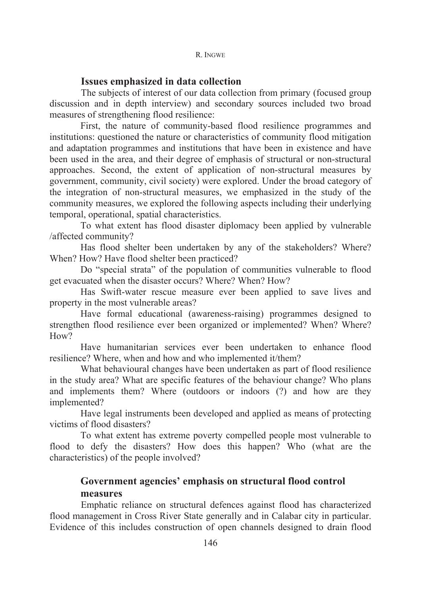## **Issues emphasized in data collection**

The subjects of interest of our data collection from primary (focused group discussion and in depth interview) and secondary sources included two broad measures of strengthening flood resilience:

First, the nature of community-based flood resilience programmes and institutions: questioned the nature or characteristics of community flood mitigation and adaptation programmes and institutions that have been in existence and have been used in the area, and their degree of emphasis of structural or non-structural approaches. Second, the extent of application of non-structural measures by government, community, civil society) were explored. Under the broad category of the integration of non-structural measures, we emphasized in the study of the community measures, we explored the following aspects including their underlying temporal, operational, spatial characteristics.

To what extent has flood disaster diplomacy been applied by vulnerable /affected community?

Has flood shelter been undertaken by any of the stakeholders? Where? When? How? Have flood shelter been practiced?

Do "special strata" of the population of communities vulnerable to flood get evacuated when the disaster occurs? Where? When? How?

Has Swift-water rescue measure ever been applied to save lives and property in the most vulnerable areas?

Have formal educational (awareness-raising) programmes designed to strengthen flood resilience ever been organized or implemented? When? Where? H<sub>ow</sub>?

Have humanitarian services ever been undertaken to enhance flood resilience? Where, when and how and who implemented it/them?

What behavioural changes have been undertaken as part of flood resilience in the study area? What are specific features of the behaviour change? Who plans and implements them? Where (outdoors or indoors (?) and how are they implemented?

Have legal instruments been developed and applied as means of protecting victims of flood disasters?

To what extent has extreme poverty compelled people most vulnerable to flood to defy the disasters? How does this happen? Who (what are the characteristics) of the people involved?

# **Government agencies' emphasis on structural flood control measures**

Emphatic reliance on structural defences against flood has characterized flood management in Cross River State generally and in Calabar city in particular. Evidence of this includes construction of open channels designed to drain flood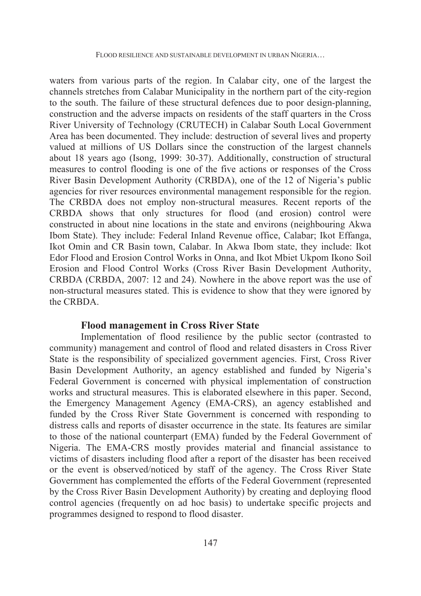waters from various parts of the region. In Calabar city, one of the largest the channels stretches from Calabar Municipality in the northern part of the city-region to the south. The failure of these structural defences due to poor design-planning, construction and the adverse impacts on residents of the staff quarters in the Cross River University of Technology (CRUTECH) in Calabar South Local Government Area has been documented. They include: destruction of several lives and property valued at millions of US Dollars since the construction of the largest channels about 18 years ago (Isong, 1999: 30-37). Additionally, construction of structural measures to control flooding is one of the five actions or responses of the Cross River Basin Development Authority (CRBDA), one of the 12 of Nigeria's public agencies for river resources environmental management responsible for the region. The CRBDA does not employ non-structural measures. Recent reports of the CRBDA shows that only structures for flood (and erosion) control were constructed in about nine locations in the state and environs (neighbouring Akwa Ibom State). They include: Federal Inland Revenue office, Calabar; Ikot Effanga, Ikot Omin and CR Basin town, Calabar. In Akwa Ibom state, they include: Ikot Edor Flood and Erosion Control Works in Onna, and Ikot Mbiet Ukpom Ikono Soil Erosion and Flood Control Works (Cross River Basin Development Authority, CRBDA (CRBDA, 2007: 12 and 24). Nowhere in the above report was the use of non-structural measures stated. This is evidence to show that they were ignored by the CRBDA.

### **Flood management in Cross River State**

Implementation of flood resilience by the public sector (contrasted to community) management and control of flood and related disasters in Cross River State is the responsibility of specialized government agencies. First, Cross River Basin Development Authority, an agency established and funded by Nigeria's Federal Government is concerned with physical implementation of construction works and structural measures. This is elaborated elsewhere in this paper. Second, the Emergency Management Agency (EMA-CRS), an agency established and funded by the Cross River State Government is concerned with responding to distress calls and reports of disaster occurrence in the state. Its features are similar to those of the national counterpart (EMA) funded by the Federal Government of Nigeria. The EMA-CRS mostly provides material and financial assistance to victims of disasters including flood after a report of the disaster has been received or the event is observed/noticed by staff of the agency. The Cross River State Government has complemented the efforts of the Federal Government (represented by the Cross River Basin Development Authority) by creating and deploying flood control agencies (frequently on ad hoc basis) to undertake specific projects and programmes designed to respond to flood disaster.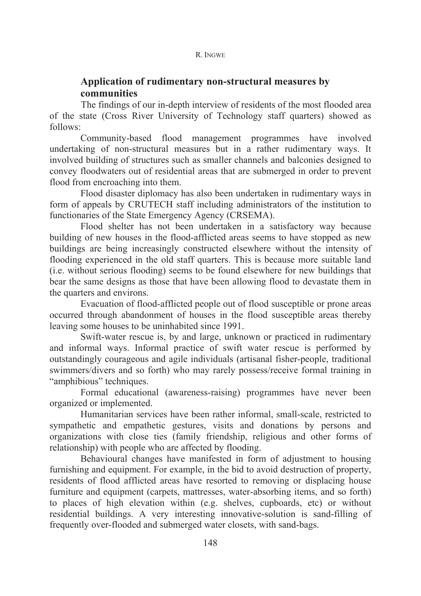# **Application of rudimentary non-structural measures by communities**

The findings of our in-depth interview of residents of the most flooded area of the state (Cross River University of Technology staff quarters) showed as follows:

Community-based flood management programmes have involved undertaking of non-structural measures but in a rather rudimentary ways. It involved building of structures such as smaller channels and balconies designed to convey floodwaters out of residential areas that are submerged in order to prevent flood from encroaching into them.

Flood disaster diplomacy has also been undertaken in rudimentary ways in form of appeals by CRUTECH staff including administrators of the institution to functionaries of the State Emergency Agency (CRSEMA).

Flood shelter has not been undertaken in a satisfactory way because building of new houses in the flood-afflicted areas seems to have stopped as new buildings are being increasingly constructed elsewhere without the intensity of flooding experienced in the old staff quarters. This is because more suitable land (i.e. without serious flooding) seems to be found elsewhere for new buildings that bear the same designs as those that have been allowing flood to devastate them in the quarters and environs.

Evacuation of flood-afflicted people out of flood susceptible or prone areas occurred through abandonment of houses in the flood susceptible areas thereby leaving some houses to be uninhabited since 1991.

Swift-water rescue is, by and large, unknown or practiced in rudimentary and informal ways. Informal practice of swift water rescue is performed by outstandingly courageous and agile individuals (artisanal fisher-people, traditional swimmers/divers and so forth) who may rarely possess/receive formal training in "amphibious" techniques.

Formal educational (awareness-raising) programmes have never been organized or implemented.

Humanitarian services have been rather informal, small-scale, restricted to sympathetic and empathetic gestures, visits and donations by persons and organizations with close ties (family friendship, religious and other forms of relationship) with people who are affected by flooding.

Behavioural changes have manifested in form of adjustment to housing furnishing and equipment. For example, in the bid to avoid destruction of property, residents of flood afflicted areas have resorted to removing or displacing house furniture and equipment (carpets, mattresses, water-absorbing items, and so forth) to places of high elevation within (e.g. shelves, cupboards, etc) or without residential buildings. A very interesting innovative-solution is sand-filling of frequently over-flooded and submerged water closets, with sand-bags.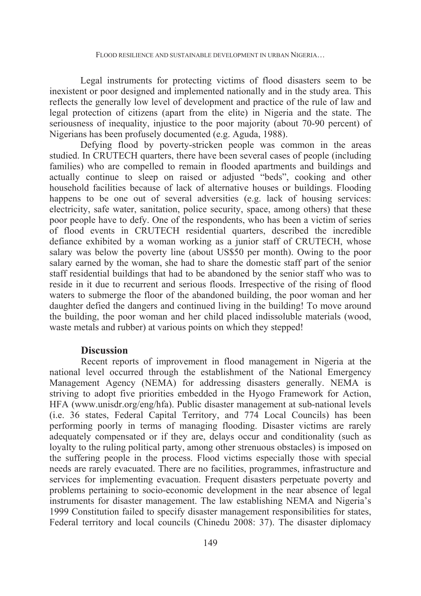Legal instruments for protecting victims of flood disasters seem to be inexistent or poor designed and implemented nationally and in the study area. This reflects the generally low level of development and practice of the rule of law and legal protection of citizens (apart from the elite) in Nigeria and the state. The seriousness of inequality, injustice to the poor majority (about 70-90 percent) of Nigerians has been profusely documented (e.g. Aguda, 1988).

Defying flood by poverty-stricken people was common in the areas studied. In CRUTECH quarters, there have been several cases of people (including families) who are compelled to remain in flooded apartments and buildings and actually continue to sleep on raised or adjusted "beds", cooking and other household facilities because of lack of alternative houses or buildings. Flooding happens to be one out of several adversities (e.g. lack of housing services: electricity, safe water, sanitation, police security, space, among others) that these poor people have to defy. One of the respondents, who has been a victim of series of flood events in CRUTECH residential quarters, described the incredible defiance exhibited by a woman working as a junior staff of CRUTECH, whose salary was below the poverty line (about US\$50 per month). Owing to the poor salary earned by the woman, she had to share the domestic staff part of the senior staff residential buildings that had to be abandoned by the senior staff who was to reside in it due to recurrent and serious floods. Irrespective of the rising of flood waters to submerge the floor of the abandoned building, the poor woman and her daughter defied the dangers and continued living in the building! To move around the building, the poor woman and her child placed indissoluble materials (wood, waste metals and rubber) at various points on which they stepped!

## **Discussion**

Recent reports of improvement in flood management in Nigeria at the national level occurred through the establishment of the National Emergency Management Agency (NEMA) for addressing disasters generally. NEMA is striving to adopt five priorities embedded in the Hyogo Framework for Action, HFA (www.unisdr.org/eng/hfa). Public disaster management at sub-national levels (i.e. 36 states, Federal Capital Territory, and 774 Local Councils) has been performing poorly in terms of managing flooding. Disaster victims are rarely adequately compensated or if they are, delays occur and conditionality (such as loyalty to the ruling political party, among other strenuous obstacles) is imposed on the suffering people in the process. Flood victims especially those with special needs are rarely evacuated. There are no facilities, programmes, infrastructure and services for implementing evacuation. Frequent disasters perpetuate poverty and problems pertaining to socio-economic development in the near absence of legal instruments for disaster management. The law establishing NEMA and Nigeria's 1999 Constitution failed to specify disaster management responsibilities for states, Federal territory and local councils (Chinedu 2008: 37). The disaster diplomacy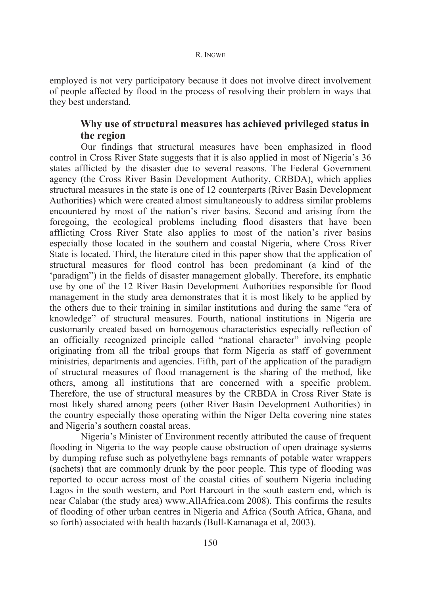employed is not very participatory because it does not involve direct involvement of people affected by flood in the process of resolving their problem in ways that they best understand.

# **Why use of structural measures has achieved privileged status in the region**

Our findings that structural measures have been emphasized in flood control in Cross River State suggests that it is also applied in most of Nigeria's 36 states afflicted by the disaster due to several reasons. The Federal Government agency (the Cross River Basin Development Authority, CRBDA), which applies structural measures in the state is one of 12 counterparts (River Basin Development Authorities) which were created almost simultaneously to address similar problems encountered by most of the nation's river basins. Second and arising from the foregoing, the ecological problems including flood disasters that have been afflicting Cross River State also applies to most of the nation's river basins especially those located in the southern and coastal Nigeria, where Cross River State is located. Third, the literature cited in this paper show that the application of structural measures for flood control has been predominant (a kind of the 'paradigm") in the fields of disaster management globally. Therefore, its emphatic use by one of the 12 River Basin Development Authorities responsible for flood management in the study area demonstrates that it is most likely to be applied by the others due to their training in similar institutions and during the same "era of knowledge" of structural measures. Fourth, national institutions in Nigeria are customarily created based on homogenous characteristics especially reflection of an officially recognized principle called "national character" involving people originating from all the tribal groups that form Nigeria as staff of government ministries, departments and agencies. Fifth, part of the application of the paradigm of structural measures of flood management is the sharing of the method, like others, among all institutions that are concerned with a specific problem. Therefore, the use of structural measures by the CRBDA in Cross River State is most likely shared among peers (other River Basin Development Authorities) in the country especially those operating within the Niger Delta covering nine states and Nigeria's southern coastal areas.

Nigeria's Minister of Environment recently attributed the cause of frequent flooding in Nigeria to the way people cause obstruction of open drainage systems by dumping refuse such as polyethylene bags remnants of potable water wrappers (sachets) that are commonly drunk by the poor people. This type of flooding was reported to occur across most of the coastal cities of southern Nigeria including Lagos in the south western, and Port Harcourt in the south eastern end, which is near Calabar (the study area) www.AllAfrica.com 2008). This confirms the results of flooding of other urban centres in Nigeria and Africa (South Africa, Ghana, and so forth) associated with health hazards (Bull-Kamanaga et al, 2003).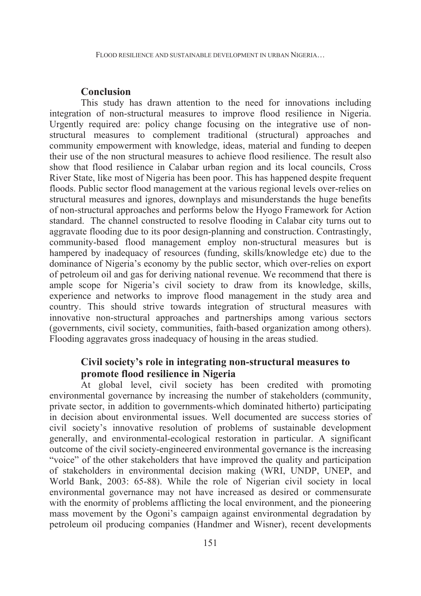## **Conclusion**

This study has drawn attention to the need for innovations including integration of non-structural measures to improve flood resilience in Nigeria. Urgently required are: policy change focusing on the integrative use of nonstructural measures to complement traditional (structural) approaches and community empowerment with knowledge, ideas, material and funding to deepen their use of the non structural measures to achieve flood resilience. The result also show that flood resilience in Calabar urban region and its local councils, Cross River State, like most of Nigeria has been poor. This has happened despite frequent floods. Public sector flood management at the various regional levels over-relies on structural measures and ignores, downplays and misunderstands the huge benefits of non-structural approaches and performs below the Hyogo Framework for Action standard. The channel constructed to resolve flooding in Calabar city turns out to aggravate flooding due to its poor design-planning and construction. Contrastingly, community-based flood management employ non-structural measures but is hampered by inadequacy of resources (funding, skills/knowledge etc) due to the dominance of Nigeria's economy by the public sector, which over-relies on export of petroleum oil and gas for deriving national revenue. We recommend that there is ample scope for Nigeria's civil society to draw from its knowledge, skills, experience and networks to improve flood management in the study area and country. This should strive towards integration of structural measures with innovative non-structural approaches and partnerships among various sectors (governments, civil society, communities, faith-based organization among others). Flooding aggravates gross inadequacy of housing in the areas studied.

## **Civil society's role in integrating non-structural measures to promote flood resilience in Nigeria**

At global level, civil society has been credited with promoting environmental governance by increasing the number of stakeholders (community, private sector, in addition to governments-which dominated hitherto) participating in decision about environmental issues. Well documented are success stories of civil society's innovative resolution of problems of sustainable development generally, and environmental-ecological restoration in particular. A significant outcome of the civil society-engineered environmental governance is the increasing "voice" of the other stakeholders that have improved the quality and participation of stakeholders in environmental decision making (WRI, UNDP, UNEP, and World Bank, 2003: 65-88). While the role of Nigerian civil society in local environmental governance may not have increased as desired or commensurate with the enormity of problems afflicting the local environment, and the pioneering mass movement by the Ogoni's campaign against environmental degradation by petroleum oil producing companies (Handmer and Wisner), recent developments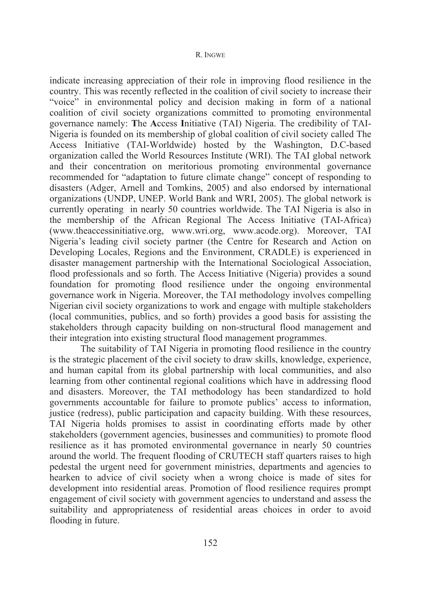indicate increasing appreciation of their role in improving flood resilience in the country. This was recently reflected in the coalition of civil society to increase their "voice" in environmental policy and decision making in form of a national coalition of civil society organizations committed to promoting environmental governance namely: **T**he **A**ccess **I**nitiative (TAI) Nigeria. The credibility of TAI-Nigeria is founded on its membership of global coalition of civil society called The Access Initiative (TAI-Worldwide) hosted by the Washington, D.C-based organization called the World Resources Institute (WRI). The TAI global network and their concentration on meritorious promoting environmental governance recommended for "adaptation to future climate change" concept of responding to disasters (Adger, Arnell and Tomkins, 2005) and also endorsed by international organizations (UNDP, UNEP. World Bank and WRI, 2005). The global network is currently operating in nearly 50 countries worldwide. The TAI Nigeria is also in the membership of the African Regional The Access Initiative (TAI-Africa) (www.theaccessinitiative.org, www.wri.org, www.acode.org). Moreover, TAI Nigeria's leading civil society partner (the Centre for Research and Action on Developing Locales, Regions and the Environment, CRADLE) is experienced in disaster management partnership with the International Sociological Association, flood professionals and so forth. The Access Initiative (Nigeria) provides a sound foundation for promoting flood resilience under the ongoing environmental governance work in Nigeria. Moreover, the TAI methodology involves compelling Nigerian civil society organizations to work and engage with multiple stakeholders (local communities, publics, and so forth) provides a good basis for assisting the stakeholders through capacity building on non-structural flood management and their integration into existing structural flood management programmes.

 The suitability of TAI Nigeria in promoting flood resilience in the country is the strategic placement of the civil society to draw skills, knowledge, experience, and human capital from its global partnership with local communities, and also learning from other continental regional coalitions which have in addressing flood and disasters. Moreover, the TAI methodology has been standardized to hold governments accountable for failure to promote publics' access to information, justice (redress), public participation and capacity building. With these resources, TAI Nigeria holds promises to assist in coordinating efforts made by other stakeholders (government agencies, businesses and communities) to promote flood resilience as it has promoted environmental governance in nearly 50 countries around the world. The frequent flooding of CRUTECH staff quarters raises to high pedestal the urgent need for government ministries, departments and agencies to hearken to advice of civil society when a wrong choice is made of sites for development into residential areas. Promotion of flood resilience requires prompt engagement of civil society with government agencies to understand and assess the suitability and appropriateness of residential areas choices in order to avoid flooding in future.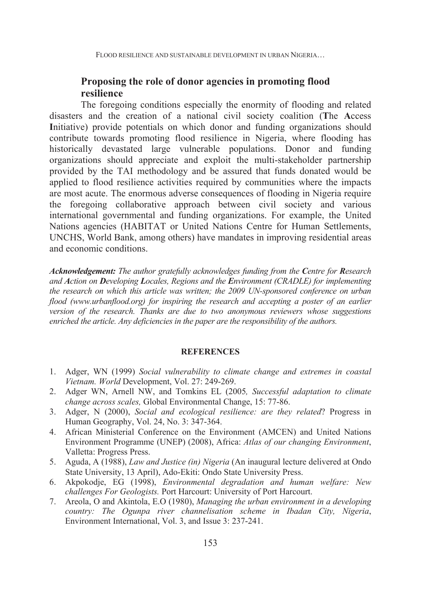## **Proposing the role of donor agencies in promoting flood resilience**

The foregoing conditions especially the enormity of flooding and related disasters and the creation of a national civil society coalition (**T**he **A**ccess Initiative) provide potentials on which donor and funding organizations should contribute towards promoting flood resilience in Nigeria, where flooding has historically devastated large vulnerable populations. Donor and funding organizations should appreciate and exploit the multi-stakeholder partnership provided by the TAI methodology and be assured that funds donated would be applied to flood resilience activities required by communities where the impacts are most acute. The enormous adverse consequences of flooding in Nigeria require the foregoing collaborative approach between civil society and various international governmental and funding organizations. For example, the United Nations agencies (HABITAT or United Nations Centre for Human Settlements, UNCHS, World Bank, among others) have mandates in improving residential areas and economic conditions.

*Acknowledgement: The author gratefully acknowledges funding from the Centre for Research and Action on Developing Locales, Regions and the Environment (CRADLE) for implementing the research on which this article was written; the 2009 UN-sponsored conference on urban flood (www.urbanflood.org) for inspiring the research and accepting a poster of an earlier version of the research. Thanks are due to two anonymous reviewers whose suggestions enriched the article. Any deficiencies in the paper are the responsibility of the authors.*

#### **REFERENCES**

- 1. Adger, WN (1999) *Social vulnerability to climate change and extremes in coastal Vietnam. World* Development, Vol. 27: 249-269.
- 2. Adger WN, Arnell NW, and Tomkins EL (2005*, Successful adaptation to climate change across scales,* Global Environmental Change, 15: 77-86.
- 3. Adger, N (2000), *Social and ecological resilience: are they related*? Progress in Human Geography, Vol. 24, No. 3: 347-364.
- 4. African Ministerial Conference on the Environment (AMCEN) and United Nations Environment Programme (UNEP) (2008), Africa: *Atlas of our changing Environment*, Valletta: Progress Press.
- 5. Aguda, A (1988), *Law and Justice (in) Nigeria* (An inaugural lecture delivered at Ondo State University, 13 April), Ado-Ekiti: Ondo State University Press.
- 6. Akpokodje, EG (1998), *Environmental degradation and human welfare: New challenges For Geologists.* Port Harcourt: University of Port Harcourt.
- 7. Areola, O and Akintola, E.O (1980), *Managing the urban environment in a developing country: The Ogunpa river channelisation scheme in Ibadan City, Nigeria*, Environment International, Vol. 3, and Issue 3: 237-241.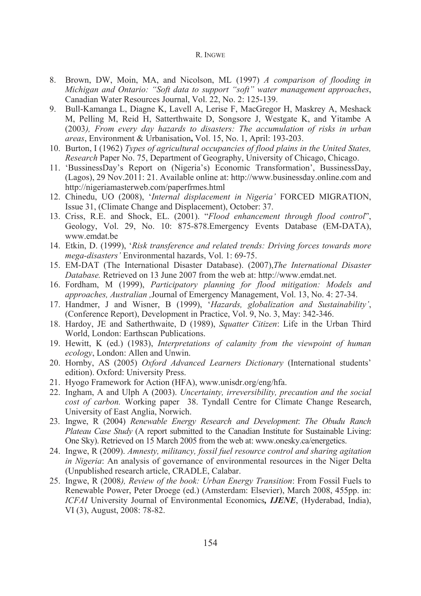- 8. Brown, DW, Moin, MA, and Nicolson, ML (1997) *A comparison of flooding in Michigan and Ontario: "Soft data to support "soft" water management approaches*, Canadian Water Resources Journal, Vol. 22, No. 2: 125-139.
- 9. Bull-Kamanga L, Diagne K, Lavell A, Lerise F, MacGregor H, Maskrey A, Meshack M, Pelling M, Reid H, Satterthwaite D, Songsore J, Westgate K, and Yitambe A (2003*), From every day hazards to disasters: The accumulation of risks in urban areas*, Environment & Urbanisation**,** Vol. 15, No. 1, April: 193-203.
- 10. Burton, I (1962) *Types of agricultural occupancies of flood plains in the United States, Research* Paper No. 75, Department of Geography, University of Chicago, Chicago.
- 11. 'BussinessDay's Report on (Nigeria's) Economic Transformation', BussinessDay, (Lagos), 29 Nov.2011: 21. Available online at: http://www.businessday.online.com and http://nigeriamasterweb.com/paperfrmes.html
- 12. Chinedu, UO (2008), '*Internal displacement in Nigeria'* FORCED MIGRATION, Issue 31, (Climate Change and Displacement), October: 37.
- 13. Criss, R.E. and Shock, EL. (2001). "*Flood enhancement through flood control*", Geology, Vol. 29, No. 10: 875-878.Emergency Events Database (EM-DATA), www.emdat.be
- 14. Etkin, D. (1999), '*Risk transference and related trends: Driving forces towards more mega-disasters'* Environmental hazards, Vol. 1: 69-75.
- 15. EM-DAT (The International Disaster Database). (2007),*The International Disaster Database.* Retrieved on 13 June 2007 from the web at: http://www.emdat.net.
- 16. Fordham, M (1999), *Participatory planning for flood mitigation: Models and approaches, Australian ,*Journal of Emergency Management, Vol. 13, No. 4: 27-34.
- 17. Handmer, J and Wisner, B (1999), '*Hazards, globalization and Sustainability'*, (Conference Report), Development in Practice, Vol. 9, No. 3, May: 342-346.
- 18. Hardoy, JE and Satherthwaite, D (1989), *Squatter Citizen*: Life in the Urban Third World, London: Earthscan Publications.
- 19. Hewitt, K (ed.) (1983), *Interpretations of calamity from the viewpoint of human ecology*, London: Allen and Unwin.
- 20. Hornby, AS (2005) *Oxford Advanced Learners Dictionary* (International students' edition). Oxford: University Press.
- 21. Hyogo Framework for Action (HFA), www.unisdr.org/eng/hfa.
- 22. Ingham, A and Ulph A (2003). *Uncertainty, irreversibility, precaution and the social cost of carbon.* Working paper 38. Tyndall Centre for Climate Change Research, University of East Anglia, Norwich.
- 23. Ingwe, R (2004) *Renewable Energy Research and Development*: *The Obudu Ranch Plateau Case Study* (A report submitted to the Canadian Institute for Sustainable Living: One Sky). Retrieved on 15 March 2005 from the web at: www.onesky.ca/energetics.
- 24. Ingwe, R (2009). *Amnesty, militancy, fossil fuel resource control and sharing agitation in Nigeria*: An analysis of governance of environmental resources in the Niger Delta (Unpublished research article, CRADLE, Calabar.
- 25. Ingwe, R (2008*), Review of the book: Urban Energy Transition*: From Fossil Fuels to Renewable Power, Peter Droege (ed.) (Amsterdam: Elsevier), March 2008, 455pp. in: *ICFAI* University Journal of Environmental Economics*, IJENE*, (Hyderabad, India), VI (3), August, 2008: 78-82.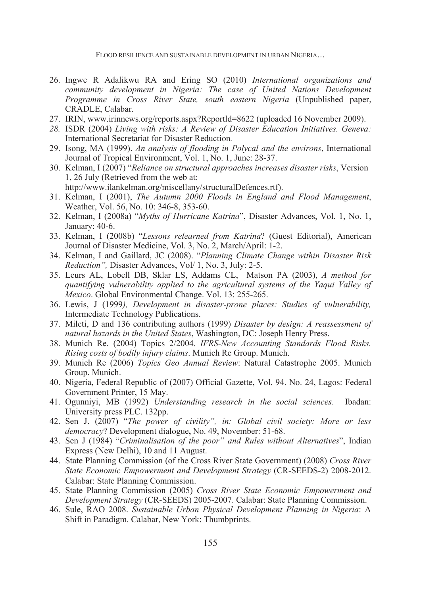FLOOD RESILIENCE AND SUSTAINABLE DEVELOPMENT IN URBAN NIGERIA…

- 26. Ingwe R Adalikwu RA and Ering SO (2010) *International organizations and community development in Nigeria: The case of United Nations Development Programme in Cross River State, south eastern Nigeria* (Unpublished paper, CRADLE, Calabar.
- 27. IRIN, www.irinnews.org/reports.aspx?Reportld=8622 (uploaded 16 November 2009).
- *28.* ISDR (2004) *Living with risks: A Review of Disaster Education Initiatives. Geneva:*  International Secretariat for Disaster Reduction*.*
- 29. Isong, MA (1999). *An analysis of flooding in Polycal and the environs*, International Journal of Tropical Environment, Vol. 1, No. 1, June: 28-37.
- 30. Kelman, I (2007) "*Reliance on structural approaches increases disaster risks*, Version 1, 26 July (Retrieved from the web at: http://www.ilankelman.org/miscellany/structuralDefences.rtf).
- 31. Kelman, I (2001), *The Autumn 2000 Floods in England and Flood Management*, Weather, Vol. 56, No. 10: 346-8, 353-60.
- 32. Kelman, I (2008a) "*Myths of Hurricane Katrina*", Disaster Advances, Vol. 1, No. 1, January: 40-6.
- 33. Kelman, I (2008b) "*Lessons relearned from Katrina*? (Guest Editorial), American Journal of Disaster Medicine, Vol. 3, No. 2, March/April: 1-2.
- 34. Kelman, I and Gaillard, JC (2008). "*Planning Climate Change within Disaster Risk Reduction",* Disaster Advances, Vol/ 1, No. 3, July: 2-5.
- 35. Leurs AL, Lobell DB, Sklar LS, Addams CL, Matson PA (2003), *A method for quantifying vulnerability applied to the agricultural systems of the Yaqui Valley of Mexico*. Global Environmental Change. Vol. 13: 255-265.
- 36. Lewis, J (1999*), Development in disaster-prone places: Studies of vulnerability,*  Intermediate Technology Publications.
- 37. Mileti, D and 136 contributing authors (1999) *Disaster by design: A reassessment of natural hazards in the United States*, Washington, DC: Joseph Henry Press.
- 38. Munich Re. (2004) Topics 2/2004. *IFRS-New Accounting Standards Flood Risks. Rising costs of bodily injury claims*. Munich Re Group. Munich.
- 39. Munich Re (2006) *Topics Geo Annual Review*: Natural Catastrophe 2005. Munich Group. Munich.
- 40. Nigeria, Federal Republic of (2007) Official Gazette, Vol. 94. No. 24, Lagos: Federal Government Printer, 15 May.
- 41. Ogunniyi, MB (1992) *Understanding research in the social sciences*. Ibadan: University press PLC. 132pp.
- 42. Sen J. (2007) "*The power of civility", in: Global civil society: More or less democracy*? Development dialogue**,** No. 49, November: 51-68.
- 43. Sen J (1984) "*Criminalisation of the poor" and Rules without Alternatives*", Indian Express (New Delhi), 10 and 11 August.
- 44. State Planning Commission (of the Cross River State Government) (2008) *Cross River State Economic Empowerment and Development Strategy* (CR-SEEDS-2) 2008-2012. Calabar: State Planning Commission.
- 45. State Planning Commission (2005) *Cross River State Economic Empowerment and Development Strategy* (CR-SEEDS) 2005-2007. Calabar: State Planning Commission.
- 46. Sule, RAO 2008. *Sustainable Urban Physical Development Planning in Nigeria*: A Shift in Paradigm. Calabar, New York: Thumbprints.